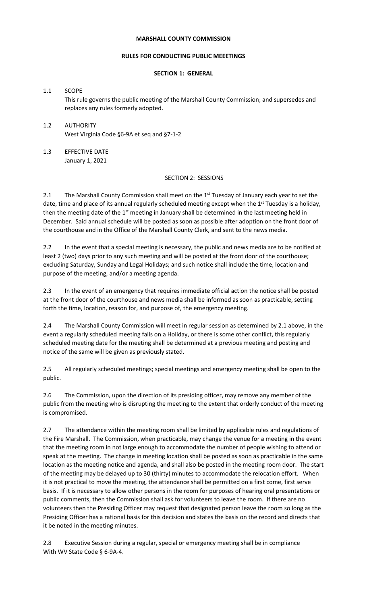#### **MARSHALL COUNTY COMMISSION**

#### **RULES FOR CONDUCTING PUBLIC MEEETINGS**

# **SECTION 1: GENERAL**

1.1 SCOPE This rule governs the public meeting of the Marshall County Commission; and supersedes and replaces any rules formerly adopted.

- 1.2 AUTHORITY West Virginia Code §6-9A et seq and §7-1-2
- 1.3 EFFECTIVE DATE January 1, 2021

### SECTION 2: SESSIONS

2.1 The Marshall County Commission shall meet on the 1<sup>st</sup> Tuesday of January each year to set the date, time and place of its annual regularly scheduled meeting except when the 1<sup>st</sup> Tuesday is a holiday, then the meeting date of the 1<sup>st</sup> meeting in January shall be determined in the last meeting held in December. Said annual schedule will be posted as soon as possible after adoption on the front door of the courthouse and in the Office of the Marshall County Clerk, and sent to the news media.

2.2 In the event that a special meeting is necessary, the public and news media are to be notified at least 2 (two) days prior to any such meeting and will be posted at the front door of the courthouse; excluding Saturday, Sunday and Legal Holidays; and such notice shall include the time, location and purpose of the meeting, and/or a meeting agenda.

2.3 In the event of an emergency that requires immediate official action the notice shall be posted at the front door of the courthouse and news media shall be informed as soon as practicable, setting forth the time, location, reason for, and purpose of, the emergency meeting.

2.4 The Marshall County Commission will meet in regular session as determined by 2.1 above, in the event a regularly scheduled meeting falls on a Holiday, or there is some other conflict, this regularly scheduled meeting date for the meeting shall be determined at a previous meeting and posting and notice of the same will be given as previously stated.

2.5 All regularly scheduled meetings; special meetings and emergency meeting shall be open to the public.

2.6 The Commission, upon the direction of its presiding officer, may remove any member of the public from the meeting who is disrupting the meeting to the extent that orderly conduct of the meeting is compromised.

2.7 The attendance within the meeting room shall be limited by applicable rules and regulations of the Fire Marshall. The Commission, when practicable, may change the venue for a meeting in the event that the meeting room in not large enough to accommodate the number of people wishing to attend or speak at the meeting. The change in meeting location shall be posted as soon as practicable in the same location as the meeting notice and agenda, and shall also be posted in the meeting room door. The start of the meeting may be delayed up to 30 (thirty) minutes to accommodate the relocation effort. When it is not practical to move the meeting, the attendance shall be permitted on a first come, first serve basis. If it is necessary to allow other persons in the room for purposes of hearing oral presentations or public comments, then the Commission shall ask for volunteers to leave the room. If there are no volunteers then the Presiding Officer may request that designated person leave the room so long as the Presiding Officer has a rational basis for this decision and states the basis on the record and directs that it be noted in the meeting minutes.

2.8 Executive Session during a regular, special or emergency meeting shall be in compliance With WV State Code § 6-9A-4.